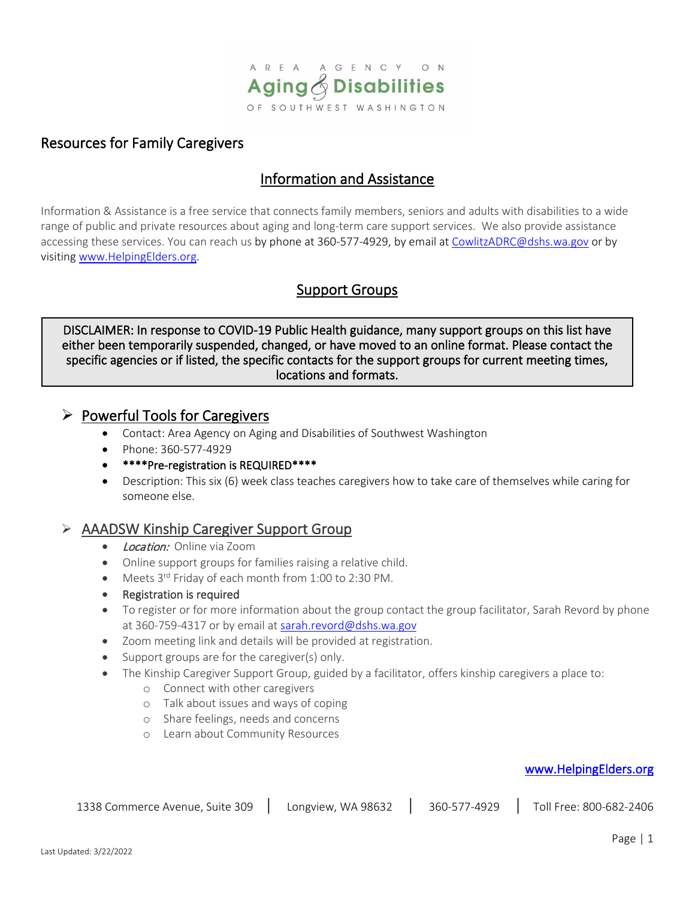

# Resources for Family Caregivers

# Information and Assistance

Information & Assistance is a free service that connects family members, seniors and adults with disabilities to a wide range of public and private resources about aging and long-term care support services. We also provide assistance accessing these services. You can reach us by phone at 360-577-4929, by email at [CowlitzADRC@dshs.wa.gov](mailto:CowlitzADRC@dshs.wa.gov) or by visiting [www.HelpingElders.org.](http://www.helpingelders.org/)

# Support Groups

DISCLAIMER: In response to COVID-19 Public Health guidance, many support groups on this list have either been temporarily suspended, changed, or have moved to an online format. Please contact the specific agencies or if listed, the specific contacts for the support groups for current meeting times, locations and formats.

### $\triangleright$  Powerful Tools for Caregivers

- Contact: Area Agency on Aging and Disabilities of Southwest Washington
- Phone: 360-577-4929
- \*\*\*\*Pre-registration is REQUIRED\*\*\*\*
- Description: This six (6) week class teaches caregivers how to take care of themselves while caring for someone else.

## AAADSW Kinship Caregiver Support Group

- Location: Online via Zoom
- Online support groups for families raising a relative child.
- Meets 3<sup>rd</sup> Friday of each month from 1:00 to 2:30 PM.
- Registration is required
- To register or for more information about the group contact the group facilitator, Sarah Revord by phone at 360-759-4317 or by email at [sarah.revord@dshs.wa.gov](mailto:sarah.revord@dshs.wa.gov)
- Zoom meeting link and details will be provided at registration.
- Support groups are for the caregiver(s) only.
- The Kinship Caregiver Support Group, guided by a facilitator, offers kinship caregivers a place to:
	- o Connect with other caregivers
	- o Talk about issues and ways of coping
	- o Share feelings, needs and concerns
	- o Learn about Community Resources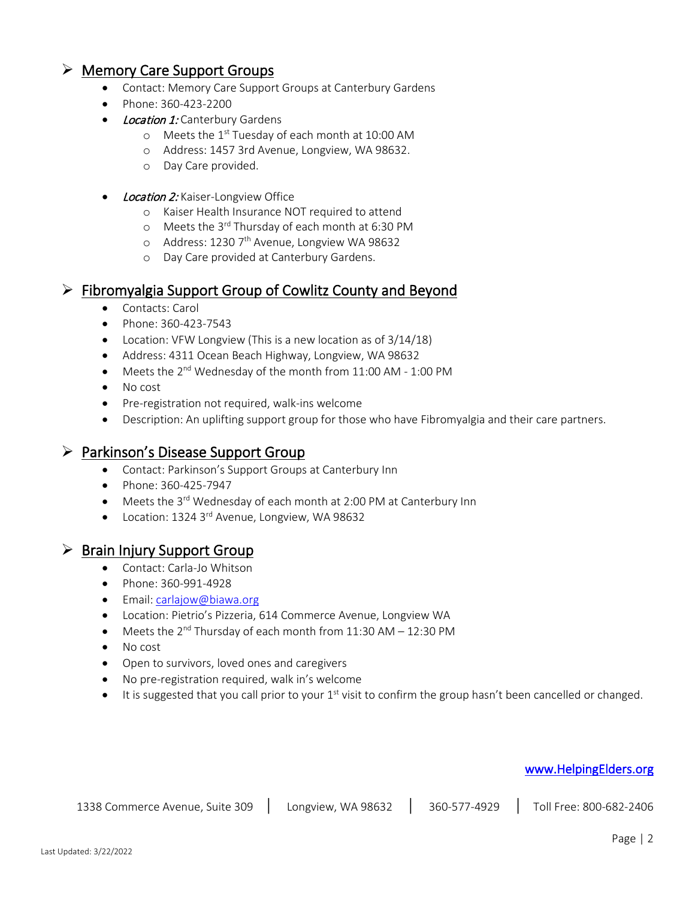# $\triangleright$  Memory Care Support Groups

- Contact: Memory Care Support Groups at Canterbury Gardens
- Phone: 360-423-2200
- Location 1: Canterbury Gardens
	- o Meets the 1<sup>st</sup> Tuesday of each month at 10:00 AM
	- o Address: 1457 3rd Avenue, Longview, WA 98632.
	- o Day Care provided.
- **Location 2:** Kaiser-Longview Office
	- o Kaiser Health Insurance NOT required to attend
	- o Meets the 3rd Thursday of each month at 6:30 PM
	- o Address: 1230 7<sup>th</sup> Avenue, Longview WA 98632
	- o Day Care provided at Canterbury Gardens.

### $\triangleright$  Fibromyalgia Support Group of Cowlitz County and Beyond

- Contacts: Carol
- Phone: 360-423-7543
- Location: VFW Longview (This is a new location as of 3/14/18)
- Address: 4311 Ocean Beach Highway, Longview, WA 98632
- Meets the 2<sup>nd</sup> Wednesday of the month from 11:00 AM 1:00 PM
- No cost
- Pre-registration not required, walk-ins welcome
- Description: An uplifting support group for those who have Fibromyalgia and their care partners.

## $\triangleright$  Parkinson's Disease Support Group

- Contact: Parkinson's Support Groups at Canterbury Inn
- Phone: 360-425-7947
- Meets the 3<sup>rd</sup> Wednesday of each month at 2:00 PM at Canterbury Inn
- Location: 1324 3<sup>rd</sup> Avenue, Longview, WA 98632

### $\triangleright$  Brain Injury Support Group

- Contact: Carla-Jo Whitson
- Phone: 360-991-4928
- Email[: carlajow@biawa.org](mailto:carlajow@biawa.org)
- Location: Pietrio's Pizzeria, 614 Commerce Avenue, Longview WA
- Meets the  $2^{nd}$  Thursday of each month from 11:30 AM 12:30 PM
- No cost
- Open to survivors, loved ones and caregivers
- No pre-registration required, walk in's welcome
- $\bullet$  It is suggested that you call prior to your 1<sup>st</sup> visit to confirm the group hasn't been cancelled or changed.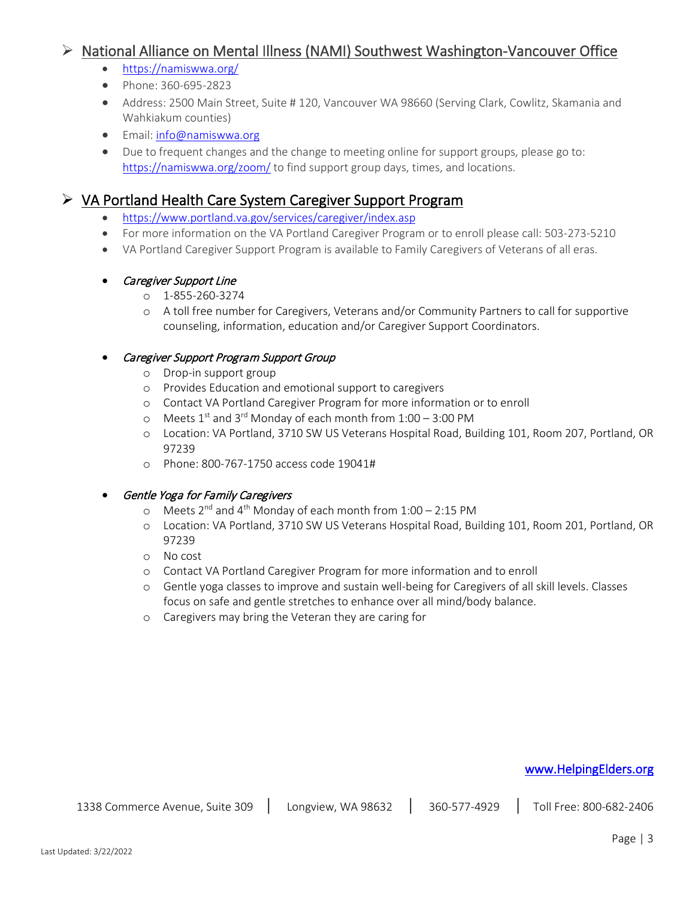# ▶ National Alliance on Mental Illness (NAMI) Southwest Washington-Vancouver Office

- <https://namiswwa.org/>
- Phone: 360-695-2823
- Address: 2500 Main Street, Suite # 120, Vancouver WA 98660 (Serving Clark, Cowlitz, Skamania and Wahkiakum counties)
- Email[: info@namiswwa.org](mailto:info@namiswwa.org)
- Due to frequent changes and the change to meeting online for support groups, please go to: <https://namiswwa.org/zoom/> to find support group days, times, and locations.

# $\triangleright$  VA Portland Health Care System Caregiver Support Program

- <https://www.portland.va.gov/services/caregiver/index.asp>
- For more information on the VA Portland Caregiver Program or to enroll please call: 503-273-5210
- VA Portland Caregiver Support Program is available to Family Caregivers of Veterans of all eras.

#### **Caregiver Support Line**

- o 1-855-260-3274
- o A toll free number for Caregivers, Veterans and/or Community Partners to call for supportive counseling, information, education and/or Caregiver Support Coordinators.

#### • Caregiver Support Program Support Group

- o Drop-in support group
- o Provides Education and emotional support to caregivers
- o Contact VA Portland Caregiver Program for more information or to enroll
- $\circ$  Meets 1<sup>st</sup> and 3<sup>rd</sup> Monday of each month from 1:00 3:00 PM
- o Location: VA Portland, 3710 SW US Veterans Hospital Road, Building 101, Room 207, Portland, OR 97239
- o Phone: 800-767-1750 access code 19041#

### • Gentle Yoga for Family Caregivers

- o Meets  $2^{nd}$  and  $4^{th}$  Monday of each month from  $1:00 2:15$  PM
- o Location: VA Portland, 3710 SW US Veterans Hospital Road, Building 101, Room 201, Portland, OR 97239
- o No cost
- o Contact VA Portland Caregiver Program for more information and to enroll
- o Gentle yoga classes to improve and sustain well-being for Caregivers of all skill levels. Classes focus on safe and gentle stretches to enhance over all mind/body balance.
- o Caregivers may bring the Veteran they are caring for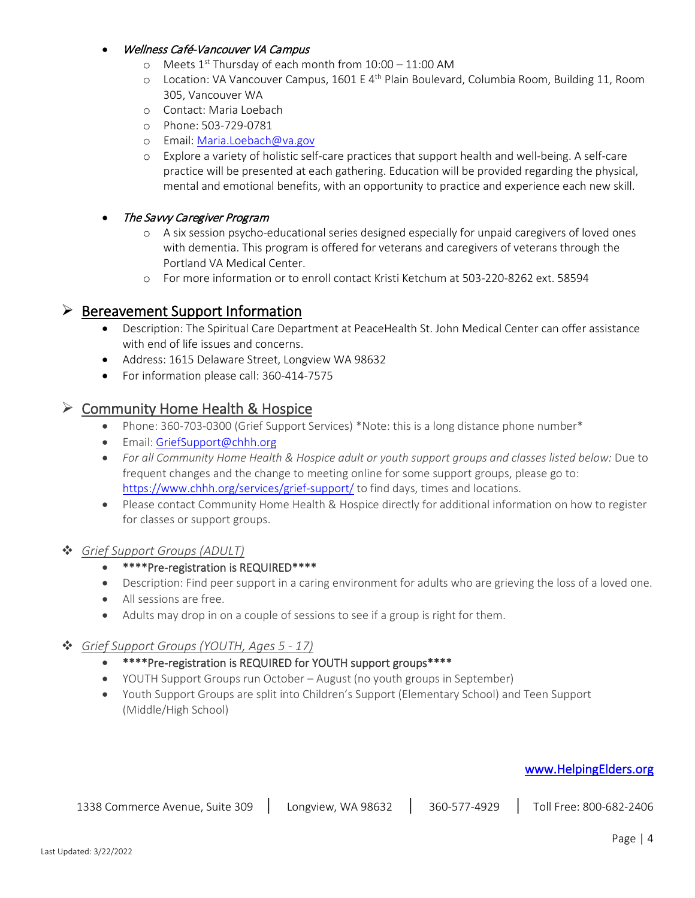#### • Wellness Café-Vancouver VA Campus

- o Meets 1st Thursday of each month from 10:00 11:00 AM
- o Location: VA Vancouver Campus, 1601 E 4<sup>th</sup> Plain Boulevard, Columbia Room, Building 11, Room 305, Vancouver WA
- o Contact: Maria Loebach
- o Phone: 503-729-0781
- o Email[: Maria.Loebach@va.gov](mailto:Maria.Loebach@va.gov)
- o Explore a variety of holistic self-care practices that support health and well-being. A self-care practice will be presented at each gathering. Education will be provided regarding the physical, mental and emotional benefits, with an opportunity to practice and experience each new skill.

#### • The Savvy Caregiver Program

- o A six session psycho-educational series designed especially for unpaid caregivers of loved ones with dementia. This program is offered for veterans and caregivers of veterans through the Portland VA Medical Center.
- o For more information or to enroll contact Kristi Ketchum at 503-220-8262 ext. 58594

### $\triangleright$  Bereavement Support Information

- Description: The Spiritual Care Department at PeaceHealth St. John Medical Center can offer assistance with end of life issues and concerns.
- Address: 1615 Delaware Street, Longview WA 98632
- For information please call: 360-414-7575

### $\triangleright$  Community Home Health & Hospice

- Phone: 360-703-0300 (Grief Support Services) \*Note: this is a long distance phone number\*
- Email[: GriefSupport@chhh.org](mailto:GriefSupport@chhh.org)
- *For all Community Home Health & Hospice adult or youth support groups and classes listed below:* Due to frequent changes and the change to meeting online for some support groups, please go to: <https://www.chhh.org/services/grief-support/> to find days, times and locations.
- Please contact Community Home Health & Hospice directly for additional information on how to register for classes or support groups.

### *Grief Support Groups (ADULT)*

- \*\*\*\*Pre-registration is REQUIRED\*\*\*\*
- Description: Find peer support in a caring environment for adults who are grieving the loss of a loved one.
- All sessions are free.
- Adults may drop in on a couple of sessions to see if a group is right for them.

### *Grief Support Groups (YOUTH, Ages 5 - 17)*

- \*\*\*\*Pre-registration is REQUIRED for YOUTH support groups\*\*\*\*
- YOUTH Support Groups run October August (no youth groups in September)
- Youth Support Groups are split into Children's Support (Elementary School) and Teen Support (Middle/High School)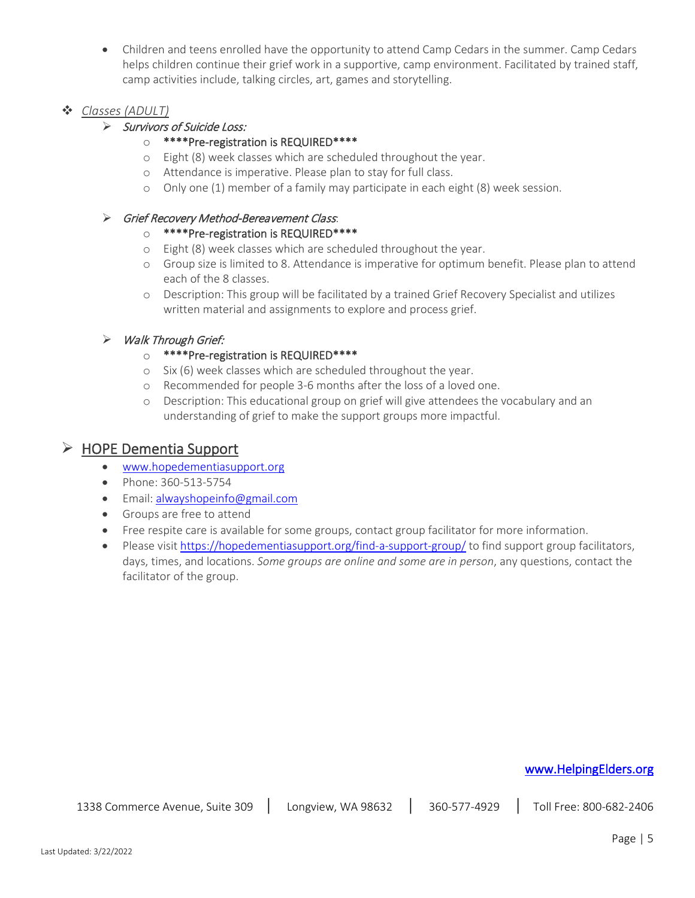• Children and teens enrolled have the opportunity to attend Camp Cedars in the summer. Camp Cedars helps children continue their grief work in a supportive, camp environment. Facilitated by trained staff, camp activities include, talking circles, art, games and storytelling.

### *Classes (ADULT)*

### Survivors of Suicide Loss:

- o \*\*\*\*Pre-registration is REQUIRED\*\*\*\*
- o Eight (8) week classes which are scheduled throughout the year.
- o Attendance is imperative. Please plan to stay for full class.
- o Only one (1) member of a family may participate in each eight (8) week session.

#### Grief Recovery Method-Bereavement Class:

#### o \*\*\*\*Pre-registration is REQUIRED\*\*\*\*

- o Eight (8) week classes which are scheduled throughout the year.
- o Group size is limited to 8. Attendance is imperative for optimum benefit. Please plan to attend each of the 8 classes.
- o Description: This group will be facilitated by a trained Grief Recovery Specialist and utilizes written material and assignments to explore and process grief.

### > Walk Through Grief:

### o \*\*\*\*Pre-registration is REQUIRED\*\*\*\*

- o Six (6) week classes which are scheduled throughout the year.
- o Recommended for people 3-6 months after the loss of a loved one.
- o Description: This educational group on grief will give attendees the vocabulary and an understanding of grief to make the support groups more impactful.

### $\triangleright$  HOPE Dementia Support

- [www.hopedementiasupport.org](http://www.hopedementiasupport.org/)
- Phone: 360-513-5754
- Email[: alwayshopeinfo@gmail.com](mailto:thereisalwayshopeinfo@gmail.com)
- Groups are free to attend
- Free respite care is available for some groups, contact group facilitator for more information.
- Please visit<https://hopedementiasupport.org/find-a-support-group/> to find support group facilitators, days, times, and locations. *Some groups are online and some are in person*, any questions, contact the facilitator of the group.